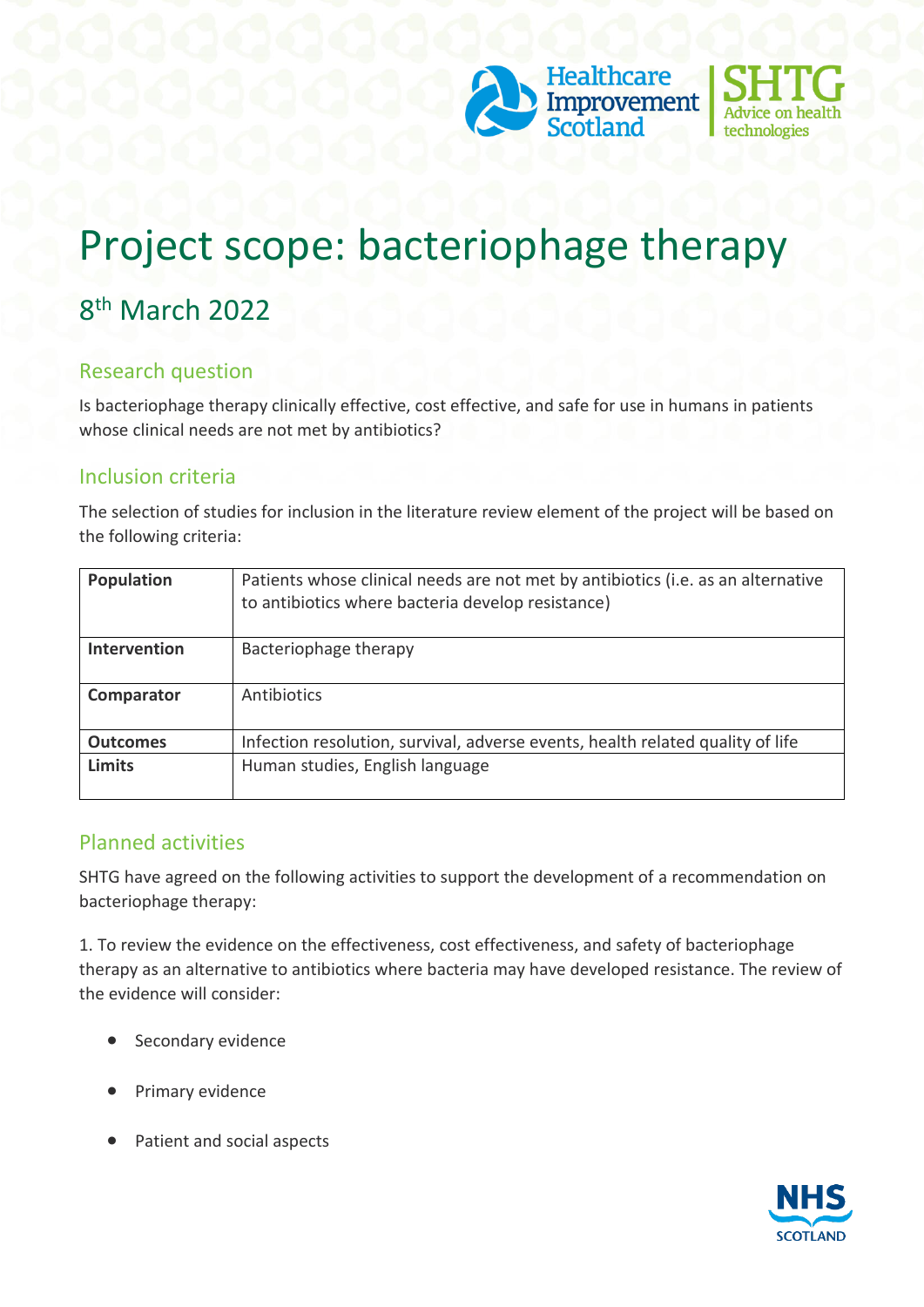



# Project scope: bacteriophage therapy

# 8 th March 2022

#### Research question

Is bacteriophage therapy clinically effective, cost effective, and safe for use in humans in patients whose clinical needs are not met by antibiotics?

#### Inclusion criteria

The selection of studies for inclusion in the literature review element of the project will be based on the following criteria:

| Population          | Patients whose clinical needs are not met by antibiotics (i.e. as an alternative<br>to antibiotics where bacteria develop resistance) |
|---------------------|---------------------------------------------------------------------------------------------------------------------------------------|
| <b>Intervention</b> | Bacteriophage therapy                                                                                                                 |
| Comparator          | Antibiotics                                                                                                                           |
| <b>Outcomes</b>     | Infection resolution, survival, adverse events, health related quality of life                                                        |
| <b>Limits</b>       | Human studies, English language                                                                                                       |

### Planned activities

SHTG have agreed on the following activities to support the development of a recommendation on bacteriophage therapy:

1. To review the evidence on the effectiveness, cost effectiveness, and safety of bacteriophage therapy as an alternative to antibiotics where bacteria may have developed resistance. The review of the evidence will consider:

- Secondary evidence
- Primary evidence
- Patient and social aspects